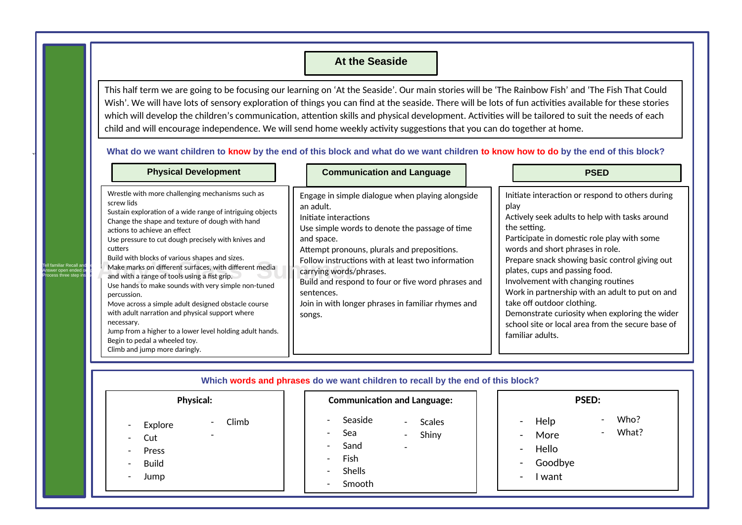## **At the Seaside**

This half term we are going to be focusing our learning on 'At the Seaside'. Our main stories will be 'The Rainbow Fish' and 'The Fish That Could Wish'. We will have lots of sensory exploration of things you can find at the seaside. There will be lots of fun activities available for these stories which will develop the children's communication, attention skills and physical development. Activities will be tailored to suit the needs of each child and will encourage independence. We will send home weekly activity suggestions that you can do together at home.

|                                                                          | <b>Physical Development</b>                                                                                                                                                                                                                                                                                                                                                                                                                                                                                                                                                                                                                                                                                                                                              | <b>Communication and Language</b>                                                                                                                                                                                                                                                                                                                                                                                         | <b>PSED</b>                                                                                                                                                                                                                                                                                                                                                                                                                                                                                                                                         |
|--------------------------------------------------------------------------|--------------------------------------------------------------------------------------------------------------------------------------------------------------------------------------------------------------------------------------------------------------------------------------------------------------------------------------------------------------------------------------------------------------------------------------------------------------------------------------------------------------------------------------------------------------------------------------------------------------------------------------------------------------------------------------------------------------------------------------------------------------------------|---------------------------------------------------------------------------------------------------------------------------------------------------------------------------------------------------------------------------------------------------------------------------------------------------------------------------------------------------------------------------------------------------------------------------|-----------------------------------------------------------------------------------------------------------------------------------------------------------------------------------------------------------------------------------------------------------------------------------------------------------------------------------------------------------------------------------------------------------------------------------------------------------------------------------------------------------------------------------------------------|
| Tell familiar Recall an<br>Answer open ended o<br>Process three step ins | Wrestle with more challenging mechanisms such as<br>screw lids<br>Sustain exploration of a wide range of intriguing objects<br>Change the shape and texture of dough with hand<br>actions to achieve an effect<br>Use pressure to cut dough precisely with knives and<br>cutters<br>Build with blocks of various shapes and sizes.<br>Make marks on different surfaces, with different media<br>and with a range of tools using a fist grip.<br>Use hands to make sounds with very simple non-tuned<br>percussion.<br>Move across a simple adult designed obstacle course<br>with adult narration and physical support where<br>necessary.<br>Jump from a higher to a lower level holding adult hands.<br>Begin to pedal a wheeled toy.<br>Climb and jump more daringly. | Engage in simple dialogue when playing alongside<br>an adult.<br>Initiate interactions<br>Use simple words to denote the passage of time<br>and space.<br>Attempt pronouns, plurals and prepositions.<br>Follow instructions with at least two information<br>carrying words/phrases.<br>Build and respond to four or five word phrases and<br>sentences.<br>Join in with longer phrases in familiar rhymes and<br>songs. | Initiate interaction or respond to others during<br>play<br>Actively seek adults to help with tasks around<br>the setting.<br>Participate in domestic role play with some<br>words and short phrases in role.<br>Prepare snack showing basic control giving out<br>plates, cups and passing food.<br>Involvement with changing routines<br>Work in partnership with an adult to put on and<br>take off outdoor clothing.<br>Demonstrate curiosity when exploring the wider<br>school site or local area from the secure base of<br>familiar adults. |

**What do we want children to know by the end of this block and what do we want children to know how to do by the end of this block?**

| <b>Physical:</b>                                                                                                                                                                                               | <b>Communication and Language:</b>                                                                                                                                                                                            | <b>PSED:</b>                                                                                                                                                                      |
|----------------------------------------------------------------------------------------------------------------------------------------------------------------------------------------------------------------|-------------------------------------------------------------------------------------------------------------------------------------------------------------------------------------------------------------------------------|-----------------------------------------------------------------------------------------------------------------------------------------------------------------------------------|
| Climb<br>$\sim$<br>Explore<br>$\overline{\phantom{a}}$<br>Cut<br>$\overline{\phantom{a}}$<br>Press<br>$\overline{\phantom{a}}$<br><b>Build</b><br>$\overline{\phantom{a}}$<br>Jump<br>$\overline{\phantom{a}}$ | Seaside<br>$\overline{\phantom{0}}$<br>Scales<br>$\blacksquare$<br>Sea<br>Shiny<br>Ξ.<br>$\sim$<br>Sand<br>$\overline{\phantom{0}}$<br>Fish<br>Ξ.<br>Shells<br>$\overline{\phantom{0}}$<br>Smooth<br>$\overline{\phantom{a}}$ | Who?<br>Help<br>-<br>-<br>What?<br>$\overline{\phantom{a}}$<br>More<br>$\blacksquare$<br>Hello<br>$\blacksquare$<br>Goodbye<br>$\blacksquare$<br>want<br>$\overline{\phantom{a}}$ |

 $\bf1$   $\bf\bf I$